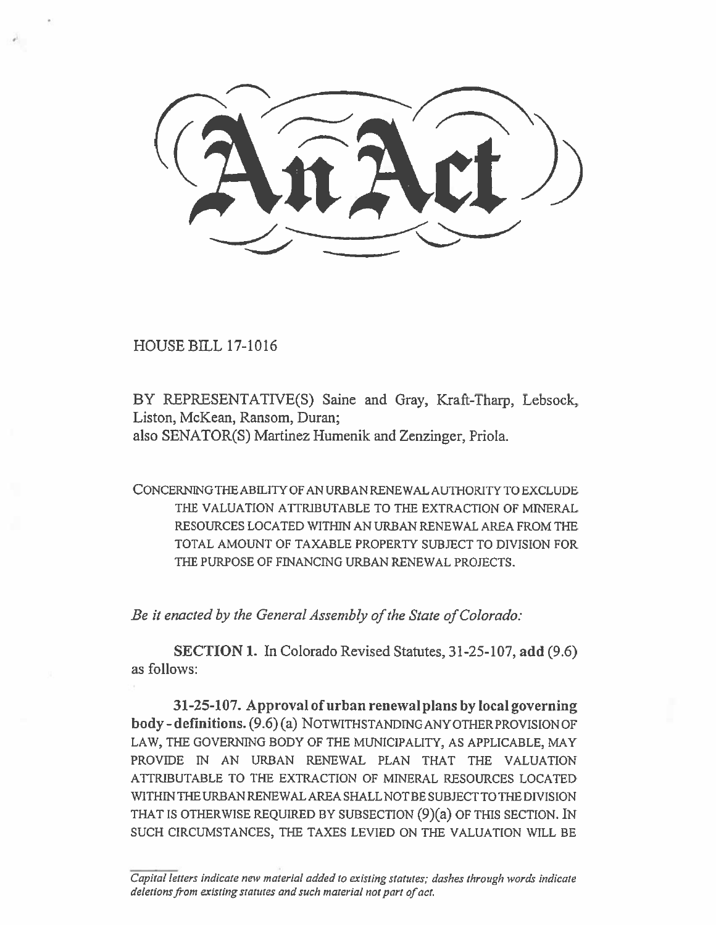HOUSE BILL 17-1016

BY REPRESENTATIVE(S) Saine and Gray, Kraft-Tharp, Lebsock, Liston, McKean, Ransom, Duran; also SENATOR(S) Martinez Humenik and Zenzinger, Priola.

CONCERNING THE ABILITY OF AN URBAN RENEWAL AUTHORITY TO EXCLUDE THE VALUATION ATTRIBUTABLE TO THE EXTRACTION OF MINERAL RESOURCES LOCATED WITHIN AN URBAN RENEWAL AREA FROM THE TOTAL AMOUNT OF TAXABLE PROPERTY SUBJECT TO DIVISION FOR THE PURPOSE OF FINANCING URBAN RENEWAL PROJECTS.

*Be it enacted by the General Assembly of the State of Colorado:* 

**SECTION 1.** In Colorado Revised Statutes, 31-25-107, **add (9.6) as follows:** 

**31-25-107. Approval of urban renewal plans by local governing body - definitions.** (9.6) (a) NOTWITHSTANDING ANY OTHER PROVISION OF LAW, THE GOVERNING BODY OF THE MUNICIPALITY, AS APPLICABLE, MAY PROVIDE IN AN URBAN RENEWAL PLAN THAT THE VALUATION ATTRIBUTABLE TO THE EXTRACTION OF MINERAL RESOURCES LOCATED WITHIN THE URBAN RENEWAL AREA SHALL NOT BE SUBJECT TO THE DIVISION THAT IS OTHERWISE REQUIRED BY SUBSECTION (9)(a) OF THIS SECTION. IN SUCH CIRCUMSTANCES, THE TAXES LEVIED ON THE VALUATION WILL BE

*Capital letters indicate new material added to existing statutes; dashes through words indicate deletions from existing statutes and such material not part of act.*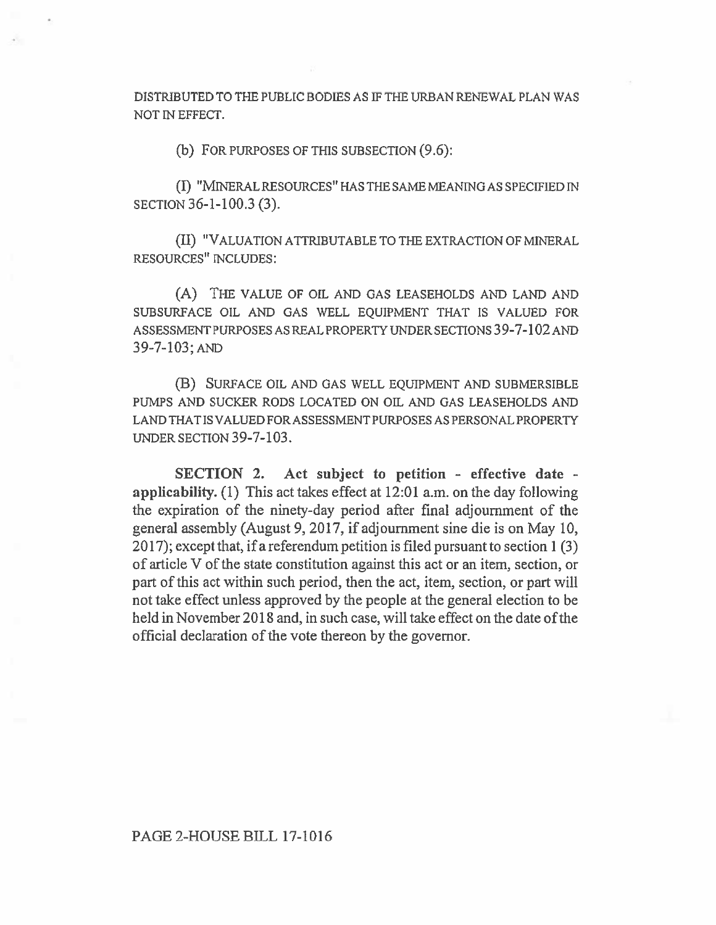DISTRIBUTED TO THE PUBLIC BODIES AS IF THE URBAN RENEWAL PLAN WAS NOT IN EFFECT.

(b) FOR PURPOSES OF THIS SUBSECTION (9.6):

(I) "MINERAL RESOURCES" HAS THE SAME MEANING AS SPECIFIED IN SECTION 36-1-100.3 (3).

(II) "VALUATION ATTRIBUTABLE TO THE EXTRACTION OF MINERAL RESOURCES" INCLUDES:

(A) THE VALUE OF OIL AND GAS LEASEHOLDS AND LAND AND SUBSURFACE OIL AND GAS WELL EQUIPMENT THAT IS VALUED FOR ASSESSMENT PURPOSES AS REAL PROPERTY UNDER SECTIONS 39-7-102 AND 39-7-103; AND

(B) SURFACE OIL AND GAS WELL EQUIPMENT AND SUBMERSIBLE PUMPS AND SUCKER RODS LOCATED ON OIL AND GAS LEASEHOLDS AND LAND THAT IS VALUED FOR ASSESSMENT PURPOSES AS PERSONAL PROPERTY UNDER SECTION 39-7-103.

**SECTION 2. Act subject to petition - effective date applicability.** (1) This act takes effect at 12:01 a.m. on the day following the expiration of the ninety-day period after final adjournment of the general assembly (August 9, 2017, if adjournment sine die is on May 10, 2017); except that, **if a** referendum petition is filed pursuant to section 1 (3) of article V of the state constitution against this act or an item, section, or part of this act within such period, then the act, item, section, or part will not take effect unless approved by the people at the general election to **be held in** November 2018 and, in such case, will take effect on the date **of the**  official declaration of the vote thereon by the governor.